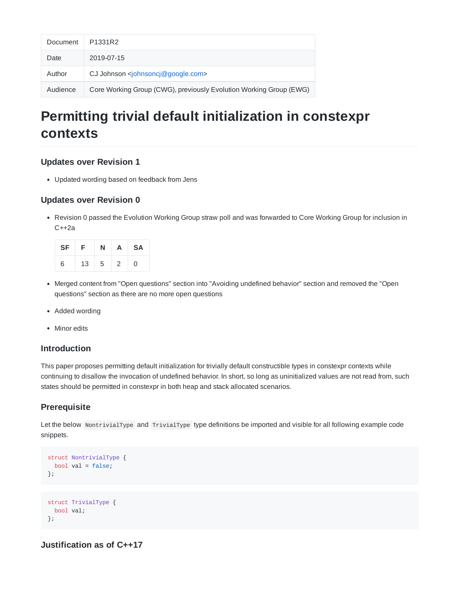| Document | P1331R2                                                            |
|----------|--------------------------------------------------------------------|
| Date     | 2019-07-15                                                         |
| Author   | CJ Johnson $\leq$ johnsoncj@google.com>                            |
| Audience | Core Working Group (CWG), previously Evolution Working Group (EWG) |

# **Permitting trivial default initialization in constexpr contexts**

#### **Updates over Revision 1**

Updated wording based on feedback from Jens

## **Updates over Revision 0**

Revision 0 passed the Evolution Working Group straw poll and was forwarded to Core Working Group for inclusion in C++2a

| SF | -F. | N |   | $A$ SA |
|----|-----|---|---|--------|
| 6  | 13  | 5 | 2 | 0      |

- Merged content from "Open questions" section into "Avoiding undefined behavior" section and removed the "Open questions" section as there are no more open questions
- Added wording
- Minor edits

## **Introduction**

This paper proposes permitting default initialization for trivially default constructible types in constexpr contexts while continuing to disallow the invocation of undefined behavior. In short, so long as uninitialized values are not read from, such states should be permitted in constexpr in both heap and stack allocated scenarios.

# **Prerequisite**

Let the below NontrivialType and TrivialType type definitions be imported and visible for all following example code snippets.

```
struct NontrivialType {
 bool val = false;};
struct TrivialType {
 bool val;
```
};

**Justification as of C++17**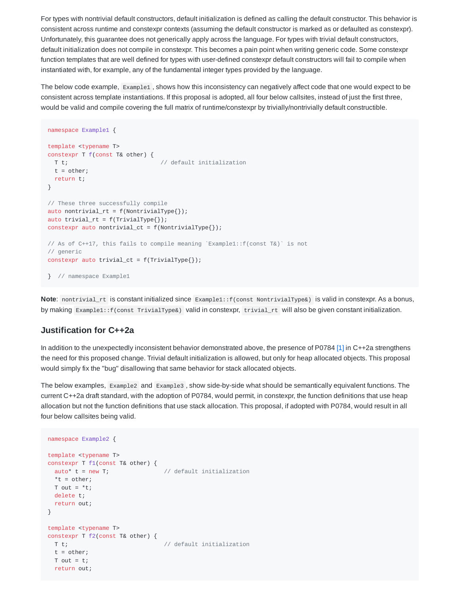For types with nontrivial default constructors, default initialization is defined as calling the default constructor. This behavior is consistent across runtime and constexpr contexts (assuming the default constructor is marked as or defaulted as constexpr). Unfortunately, this guarantee does not generically apply across the language. For types with trivial default constructors, default initialization does not compile in constexpr. This becomes a pain point when writing generic code. Some constexpr function templates that are well defined for types with user-defined constexpr default constructors will fail to compile when instantiated with, for example, any of the fundamental integer types provided by the language.

The below code example, Example1, shows how this inconsistency can negatively affect code that one would expect to be consistent across template instantiations. If this proposal is adopted, all four below callsites, instead of just the first three, would be valid and compile covering the full matrix of runtime/constexpr by trivially/nontrivially default constructible.

```
namespace Example1 {
template <typename T>
constexpr T f(const T& other) {
 T t; \frac{1}{2} // default initialization
 t = other;
 return t;
}
// These three successfully compile
auto nontrivial_rt = f(NontrivialType{}');
auto trivial_rt = f(TrivialType{}});
constexpr auto nontrivial_ct = f(NontrivialType{}});
// As of C++17, this fails to compile meaning `Example1::f(const T&)` is not
// generic
constexpr auto trivial_ct = f(TrivialType{});
} // namespace Example1
```
**Note**: nontrivial rt is constant initialized since Example1::f(const NontrivialType&) is valid in constexpr. As a bonus, by making Example1::f(const TrivialType&) valid in constexpr, trivial\_rt will also be given constant initialization.

#### **Justification for C++2a**

In addition to the unexpectedly inconsistent behavior demonstrated above, the presence of P0784 [1] in C++2a strengthens the need for this proposed change. Trivial default initialization is allowed, but only for heap allocated objects. This proposal would simply fix the "bug" disallowing that same behavior for stack allocated objects.

The below examples, Example2 and Example3 , show side-by-side what should be semantically equivalent functions. The current C++2a draft standard, with the adoption of P0784, would permit, in constexpr, the function definitions that use heap allocation but not the function definitions that use stack allocation. This proposal, if adopted with P0784, would result in all four below callsites being valid.

```
namespace Example2 {
template <typename T>
constexpr T f1(const T& other) {
 auto* t = new T; // default initialization
 *t = other;T out = *t;delete t;
 return out;
}
template <typename T>
constexpr T f2(const T& other) {
 T t; \frac{1}{2} // default initialization
 t = other;T out = t;
 return out;
```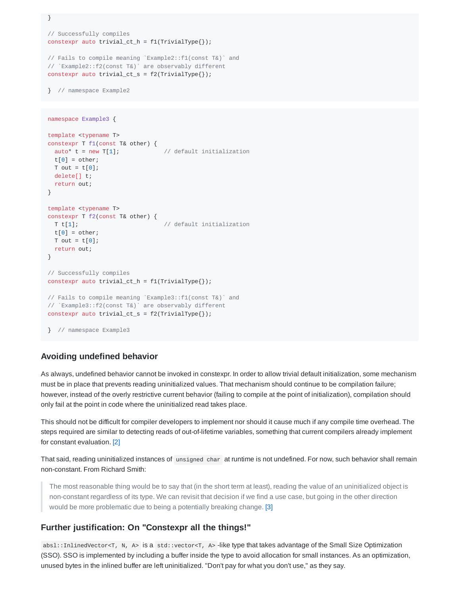```
}
// Successfully compiles
constexpr auto trivial_ct_h = f1(TrivialType{}});
// Fails to compile meaning `Example2::f1(const T&)` and
// `Example2::f2(const T&)` are observably different
constexpr auto trivial_ct_s = f2(TrivialType{});
} // namespace Example2
```

```
template <typename T>
constexpr T f1(const T& other) {
 auto* t = new T[1]; // default initialization
 t[0] = other;T out = t[0];
 delete[] t;
 return out;
}
template <typename T>
constexpr T f2(const T& other) {
 T t[1]; \sqrt{1 + 1} // default initialization
 t[0] = other;T out = t[0];
 return out;
}
// Successfully compiles
constexpr auto trivial_ct_h = f1(TrivialType{});
// Fails to compile meaning `Example3::f1(const T&)` and
// `Example3::f2(const T&)` are observably different
constexpr auto trivial_ct_s = f2(TrivialType{});
} // namespace Example3
```
#### **Avoiding undefined behavior**

namespace Example3 {

As always, undefined behavior cannot be invoked in constexpr. In order to allow trivial default initialization, some mechanism must be in place that prevents reading uninitialized values. That mechanism should continue to be compilation failure; however, instead of the overly restrictive current behavior (failing to compile at the point of initialization), compilation should only fail at the point in code where the uninitialized read takes place.

This should not be difficult for compiler developers to implement nor should it cause much if any compile time overhead. The steps required are similar to detecting reads of out-of-lifetime variables, something that current compilers already implement for constant evaluation. [2]

That said, reading uninitialized instances of unsigned char at runtime is not undefined. For now, such behavior shall remain non-constant. From Richard Smith:

The most reasonable thing would be to say that (in the short term at least), reading the value of an uninitialized object is non-constant regardless of its type. We can revisit that decision if we find a use case, but going in the other direction would be more problematic due to being a potentially breaking change. [3]

#### **Further justification: On "Constexpr all the things!"**

absl::InlinedVector<T, N, A> is a std::vector<T, A> -like type that takes advantage of the Small Size Optimization (SSO). SSO is implemented by including a buffer inside the type to avoid allocation for small instances. As an optimization, unused bytes in the inlined buffer are left uninitialized. "Don't pay for what you don't use," as they say.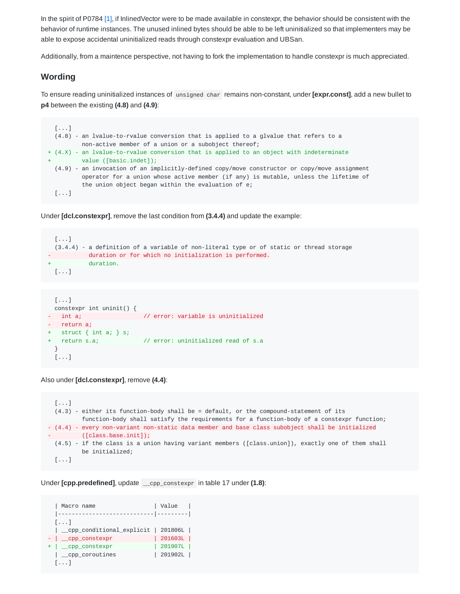In the spirit of P0784 [1], if InlinedVector were to be made available in constexpr, the behavior should be consistent with the behavior of runtime instances. The unused inlined bytes should be able to be left uninitialized so that implementers may be able to expose accidental uninitialized reads through constexpr evaluation and UBSan.

Additionally, from a maintence perspective, not having to fork the implementation to handle constexpr is much appreciated.

#### **Wording**

To ensure reading uninitialized instances of unsigned char remains non-constant, under **[expr.const]**, add a new bullet to **p4** between the existing **(4.8)** and **(4.9)**:

```
[...]
 (4.8) - an lvalue-to-rvalue conversion that is applied to a glvalue that refers to a
         non-active member of a union or a subobject thereof;
+ (4.X) - an lvalue-to-rvalue conversion that is applied to an object with indeterminate
        value ([basic.indet]);
 (4.9) - an invocation of an implicitly-defined copy/move constructor or copy/move assignment
         operator for a union whose active member (if any) is mutable, unless the lifetime of
          the union object began within the evaluation of e;
 [\ldots]
```
Under **[dcl.constexpr]**, remove the last condition from **(3.4.4)** and update the example:

```
[...]
 (3.4.4) - a definition of a variable of non-literal type or of static or thread storage
- duration or for which no initialization is performed.
         duration.
[...]
```

```
[...]
 constexpr int uninit() {
  int a; \frac{1}{2} // error: variable is uninitialized
- return a;
  struct \{ int a; \} s;
 return s.a; \frac{1}{2} // error: uninitialized read of s.a
 }
 [...]
```
Also under **[dcl.constexpr]**, remove **(4.4)**:

```
[...]
  (4.3) - either its function-body shall be = default, or the compound-statement of its
          function-body shall satisfy the requirements for a function-body of a constexpr function;
- (4.4) - every non-variant non-static data member and base class subobject shall be initialized
         - ([class.base.init]);
  (4.5) - if the class is a union having variant members ([class.union]), exactly one of them shall
         be initialized;
  [\ldots]
```
Under **[cpp.predefined]**, update \_\_cpp\_constexpr in table 17 under **(1.8)**:

```
| Macro name | Value |
 |----------------------------|---------|
 [...]
 | __cpp_conditional_explicit | 201806L |
- | __cpp_constexpr | 201603L |
+ | __cpp_constexpr | 201907L |
 | __cpp_coroutines | 201902L |
 [...]
```